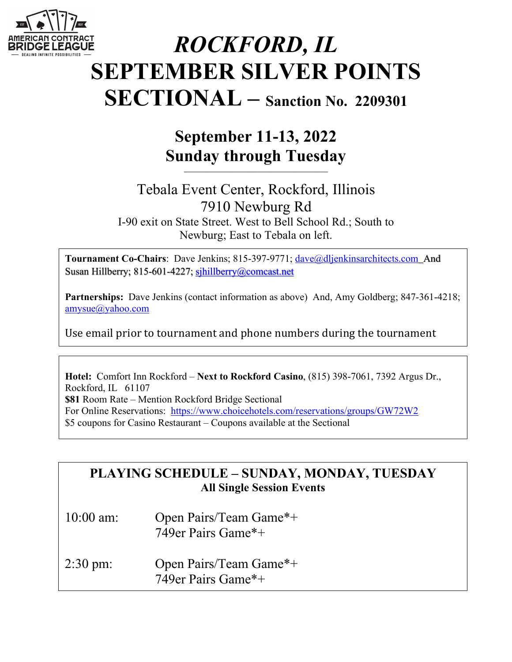

# *ROCKFORD, IL* **SEPTEMBER SILVER POINTS SECTIONAL – Sanction No. 2209301**

# **September 11-13, 2022 Sunday through Tuesday**

**\_\_\_\_\_\_\_\_\_\_\_\_\_\_\_\_\_\_\_\_\_\_\_\_\_\_\_\_\_\_\_\_\_\_\_\_\_\_\_\_\_\_\_**

# Tebala Event Center, Rockford, Illinois 7910 Newburg Rd I-90 exit on State Street. West to Bell School Rd.; South to Newburg; East to Tebala on left.

Tournament Co-Chairs: Dave Jenkins; 815-397-9771; dave@dljenkinsarchitects.com\_And Susan Hillberry; 815-601-4227; sjhillberry@comcast.net

**Partnerships:** Dave Jenkins (contact information as above) And, Amy Goldberg; 847-361-4218; amysue@yahoo.com

Use email prior to tournament and phone numbers during the tournament

**Hotel:** Comfort Inn Rockford – **Next to Rockford Casino**, (815) 398-7061, 7392 Argus Dr., Rockford, IL 61107 **\$81** Room Rate – Mention Rockford Bridge Sectional For Online Reservations: https://www.choicehotels.com/reservations/groups/GW72W2 \$5 coupons for Casino Restaurant – Coupons available at the Sectional

# **PLAYING SCHEDULE – SUNDAY, MONDAY, TUESDAY All Single Session Events**

- 10:00 am: Open Pairs/Team Game\*+ 749er Pairs Game\*+
- 2:30 pm: Open Pairs/Team Game\*+ 749er Pairs Game\*+